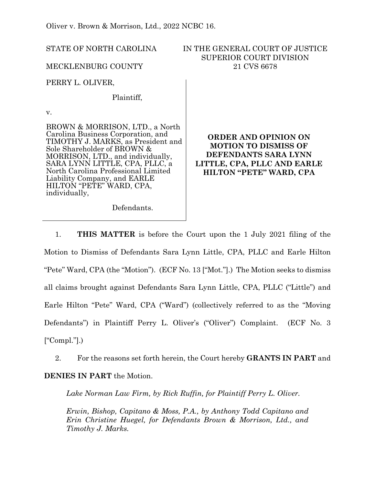Oliver v. Brown & Morrison, Ltd., 2022 NCBC 16.

STATE OF NORTH CAROLINA

MECKLENBURG COUNTY

IN THE GENERAL COURT OF JUSTICE SUPERIOR COURT DIVISION 21 CVS 6678

PERRY L. OLIVER,

Plaintiff,

v.

BROWN & MORRISON, LTD., a North Carolina Business Corporation, and TIMOTHY J. MARKS, as President and Sole Shareholder of BROWN & MORRISON, LTD., and individually, SARA LYNN LITTLE, CPA, PLLC, a North Carolina Professional Limited Liability Company, and EARLE HILTON "PETE" WARD, CPA, individually,

**ORDER AND OPINION ON MOTION TO DISMISS OF DEFENDANTS SARA LYNN LITTLE, CPA, PLLC AND EARLE HILTON "PETE" WARD, CPA**

Defendants.

1. **THIS MATTER** is before the Court upon the 1 July 2021 filing of the Motion to Dismiss of Defendants Sara Lynn Little, CPA, PLLC and Earle Hilton "Pete" Ward, CPA (the "Motion"). (ECF No. 13 ["Mot."].) The Motion seeks to dismiss all claims brought against Defendants Sara Lynn Little, CPA, PLLC ("Little") and Earle Hilton "Pete" Ward, CPA ("Ward") (collectively referred to as the "Moving Defendants") in Plaintiff Perry L. Oliver's ("Oliver") Complaint. (ECF No. 3  $[$ "Compl."].)

2. For the reasons set forth herein, the Court hereby **GRANTS IN PART** and **DENIES IN PART** the Motion.

Lake Norman Law Firm, by Rick Ruffin, for Plaintiff Perry L. Oliver.

*Erwin, Bishop, Capitano & Moss, P.A., by Anthony Todd Capitano and Erin Christine Huegel, for Defendants Brown & Morrison, Ltd., and Timothy J. Marks.*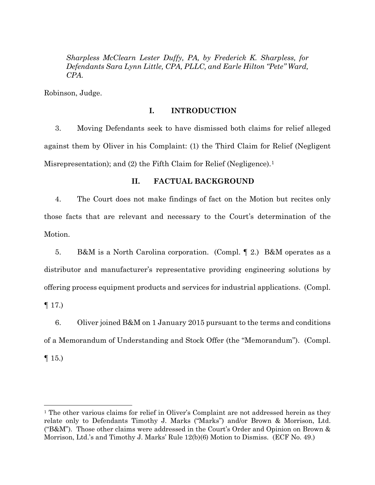*Sharpless McClearn Lester Duffy, PA, by Frederick K. Sharpless, for Defendants Sara Lynn Little, CPA, PLLC, and Earle Hilton "Pete" Ward, CPA.* 

Robinson, Judge.

# **I. INTRODUCTION**

3. Moving Defendants seek to have dismissed both claims for relief alleged against them by Oliver in his Complaint: (1) the Third Claim for Relief (Negligent Misrepresentation); and (2) the Fifth Claim for Relief (Negligence).<sup>[1](#page-1-0)</sup>

# **II. FACTUAL BACKGROUND**

4. The Court does not make findings of fact on the Motion but recites only those facts that are relevant and necessary to the Court's determination of the Motion.

5. B&M is a North Carolina corporation. (Compl. ¶ 2.) B&M operates as a distributor and manufacturer's representative providing engineering solutions by offering process equipment products and services for industrial applications. (Compl.  $\P$  17.)

6. Oliver joined B&M on 1 January 2015 pursuant to the terms and conditions of a Memorandum of Understanding and Stock Offer (the "Memorandum"). (Compl.  $\P$  15.)

<span id="page-1-0"></span><sup>&</sup>lt;sup>1</sup> The other various claims for relief in Oliver's Complaint are not addressed herein as they relate only to Defendants Timothy J. Marks ("Marks") and/or Brown & Morrison, Ltd. ("B&M"). Those other claims were addressed in the Court's Order and Opinion on Brown & Morrison, Ltd.'s and Timothy J. Marks' Rule 12(b)(6) Motion to Dismiss. (ECF No. 49.)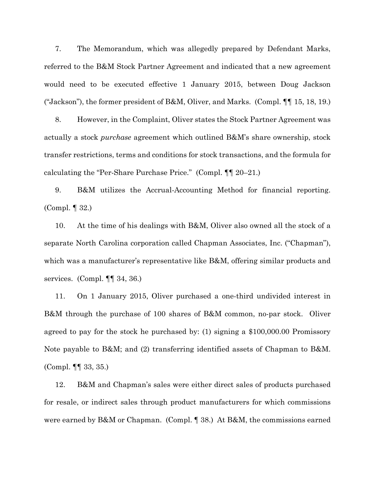7. The Memorandum, which was allegedly prepared by Defendant Marks, referred to the B&M Stock Partner Agreement and indicated that a new agreement would need to be executed effective 1 January 2015, between Doug Jackson ("Jackson"), the former president of B&M, Oliver, and Marks. (Compl. ¶¶ 15, 18, 19.)

8. However, in the Complaint, Oliver states the Stock Partner Agreement was actually a stock *purchase* agreement which outlined B&M's share ownership, stock transfer restrictions, terms and conditions for stock transactions, and the formula for calculating the "Per-Share Purchase Price." (Compl. ¶¶ 20–21.)

9. B&M utilizes the Accrual-Accounting Method for financial reporting. (Compl. ¶ 32.)

10. At the time of his dealings with B&M, Oliver also owned all the stock of a separate North Carolina corporation called Chapman Associates, Inc. ("Chapman"), which was a manufacturer's representative like B&M, offering similar products and services. (Compl. ¶¶ 34, 36.)

11. On 1 January 2015, Oliver purchased a one-third undivided interest in B&M through the purchase of 100 shares of B&M common, no-par stock. Oliver agreed to pay for the stock he purchased by: (1) signing a \$100,000.00 Promissory Note payable to B&M; and (2) transferring identified assets of Chapman to B&M. (Compl. ¶¶ 33, 35.)

12. B&M and Chapman's sales were either direct sales of products purchased for resale, or indirect sales through product manufacturers for which commissions were earned by B&M or Chapman. (Compl. ¶ 38.) At B&M, the commissions earned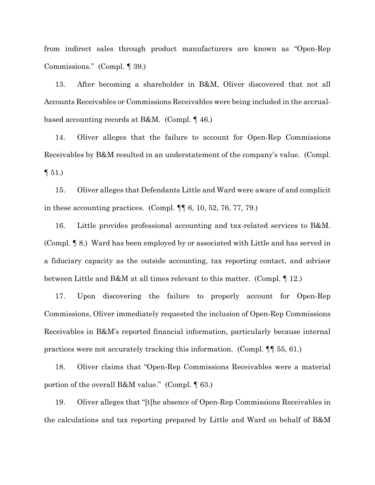from indirect sales through product manufacturers are known as "Open-Rep Commissions." (Compl. ¶ 39.)

13. After becoming a shareholder in B&M, Oliver discovered that not all Accounts Receivables or Commissions Receivables were being included in the accrualbased accounting records at B&M. (Compl. ¶ 46.)

14. Oliver alleges that the failure to account for Open-Rep Commissions Receivables by B&M resulted in an understatement of the company's value. (Compl.  $\P 51.$ 

15. Oliver alleges that Defendants Little and Ward were aware of and complicit in these accounting practices. (Compl. ¶¶ 6, 10, 52, 76, 77, 79.)

16. Little provides professional accounting and tax-related services to B&M. (Compl. ¶ 8.) Ward has been employed by or associated with Little and has served in a fiduciary capacity as the outside accounting, tax reporting contact, and advisor between Little and B&M at all times relevant to this matter. (Compl. ¶ 12.)

17. Upon discovering the failure to properly account for Open-Rep Commissions, Oliver immediately requested the inclusion of Open-Rep Commissions Receivables in B&M's reported financial information, particularly because internal practices were not accurately tracking this information. (Compl. ¶¶ 55, 61.)

18. Oliver claims that "Open-Rep Commissions Receivables were a material portion of the overall B&M value." (Compl. ¶ 63.)

19. Oliver alleges that "[t]he absence of Open-Rep Commissions Receivables in the calculations and tax reporting prepared by Little and Ward on behalf of B&M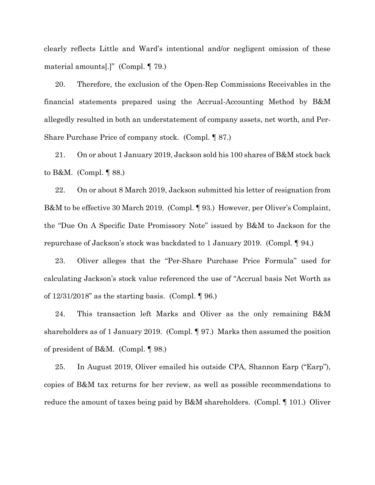clearly reflects Little and Ward's intentional and/or negligent omission of these material amounts[.]" (Compl. ¶ 79.)

20. Therefore, the exclusion of the Open-Rep Commissions Receivables in the financial statements prepared using the Accrual-Accounting Method by B&M allegedly resulted in both an understatement of company assets, net worth, and Per-Share Purchase Price of company stock. (Compl. ¶ 87.)

21. On or about 1 January 2019, Jackson sold his 100 shares of B&M stock back to B&M. (Compl. ¶ 88.)

22. On or about 8 March 2019, Jackson submitted his letter of resignation from B&M to be effective 30 March 2019. (Compl. ¶ 93.) However, per Oliver's Complaint, the "Due On A Specific Date Promissory Note" issued by B&M to Jackson for the repurchase of Jackson's stock was backdated to 1 January 2019. (Compl. ¶ 94.)

23. Oliver alleges that the "Per-Share Purchase Price Formula" used for calculating Jackson's stock value referenced the use of "Accrual basis Net Worth as of  $12/31/2018$ " as the starting basis. (Compl.  $\llbracket 96 \rrbracket$ )

24. This transaction left Marks and Oliver as the only remaining B&M shareholders as of 1 January 2019. (Compl. ¶ 97.) Marks then assumed the position of president of B&M. (Compl. ¶ 98.)

25. In August 2019, Oliver emailed his outside CPA, Shannon Earp ("Earp"), copies of B&M tax returns for her review, as well as possible recommendations to reduce the amount of taxes being paid by B&M shareholders. (Compl. ¶ 101.) Oliver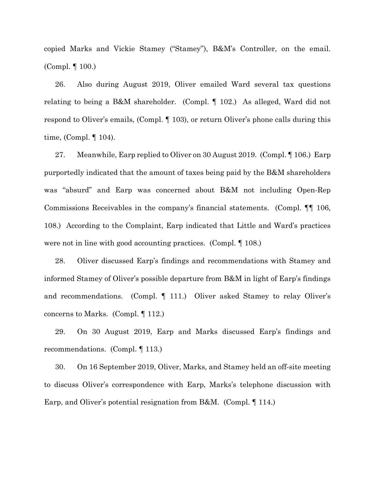copied Marks and Vickie Stamey ("Stamey"), B&M's Controller, on the email. (Compl. ¶ 100.)

26. Also during August 2019, Oliver emailed Ward several tax questions relating to being a B&M shareholder. (Compl. ¶ 102.) As alleged, Ward did not respond to Oliver's emails, (Compl. ¶ 103), or return Oliver's phone calls during this time, (Compl. ¶ 104).

27. Meanwhile, Earp replied to Oliver on 30 August 2019. (Compl. ¶ 106.) Earp purportedly indicated that the amount of taxes being paid by the B&M shareholders was "absurd" and Earp was concerned about B&M not including Open-Rep Commissions Receivables in the company's financial statements. (Compl. ¶¶ 106, 108.) According to the Complaint, Earp indicated that Little and Ward's practices were not in line with good accounting practices. (Compl. ¶ 108.)

28. Oliver discussed Earp's findings and recommendations with Stamey and informed Stamey of Oliver's possible departure from B&M in light of Earp's findings and recommendations. (Compl. ¶ 111.) Oliver asked Stamey to relay Oliver's concerns to Marks. (Compl. ¶ 112.)

29. On 30 August 2019, Earp and Marks discussed Earp's findings and recommendations. (Compl. ¶ 113.)

30. On 16 September 2019, Oliver, Marks, and Stamey held an off-site meeting to discuss Oliver's correspondence with Earp, Marks's telephone discussion with Earp, and Oliver's potential resignation from B&M. (Compl. ¶ 114.)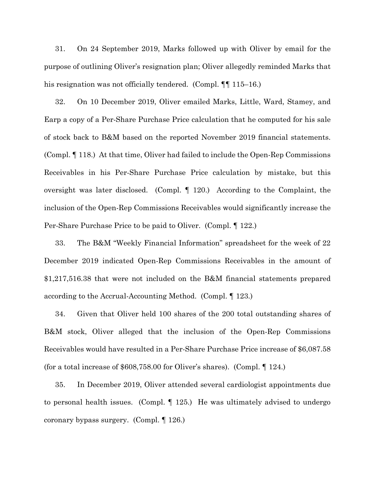31. On 24 September 2019, Marks followed up with Oliver by email for the purpose of outlining Oliver's resignation plan; Oliver allegedly reminded Marks that his resignation was not officially tendered. (Compl.  $\P$  115–16.)

32. On 10 December 2019, Oliver emailed Marks, Little, Ward, Stamey, and Earp a copy of a Per-Share Purchase Price calculation that he computed for his sale of stock back to B&M based on the reported November 2019 financial statements. (Compl. ¶ 118.) At that time, Oliver had failed to include the Open-Rep Commissions Receivables in his Per-Share Purchase Price calculation by mistake, but this oversight was later disclosed. (Compl. ¶ 120.) According to the Complaint, the inclusion of the Open-Rep Commissions Receivables would significantly increase the Per-Share Purchase Price to be paid to Oliver. (Compl. ¶ 122.)

33. The B&M "Weekly Financial Information" spreadsheet for the week of 22 December 2019 indicated Open-Rep Commissions Receivables in the amount of \$1,217,516.38 that were not included on the B&M financial statements prepared according to the Accrual-Accounting Method. (Compl. ¶ 123.)

34. Given that Oliver held 100 shares of the 200 total outstanding shares of B&M stock, Oliver alleged that the inclusion of the Open-Rep Commissions Receivables would have resulted in a Per-Share Purchase Price increase of \$6,087.58 (for a total increase of \$608,758.00 for Oliver's shares). (Compl. ¶ 124.)

35. In December 2019, Oliver attended several cardiologist appointments due to personal health issues. (Compl. ¶ 125.) He was ultimately advised to undergo coronary bypass surgery. (Compl. ¶ 126.)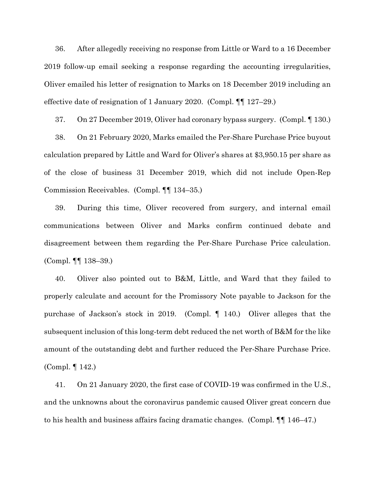36. After allegedly receiving no response from Little or Ward to a 16 December 2019 follow-up email seeking a response regarding the accounting irregularities, Oliver emailed his letter of resignation to Marks on 18 December 2019 including an effective date of resignation of 1 January 2020. (Compl. ¶¶ 127–29.)

37. On 27 December 2019, Oliver had coronary bypass surgery. (Compl. ¶ 130.) 38. On 21 February 2020, Marks emailed the Per-Share Purchase Price buyout calculation prepared by Little and Ward for Oliver's shares at \$3,950.15 per share as of the close of business 31 December 2019, which did not include Open-Rep Commission Receivables. (Compl. ¶¶ 134–35.)

39. During this time, Oliver recovered from surgery, and internal email communications between Oliver and Marks confirm continued debate and disagreement between them regarding the Per-Share Purchase Price calculation. (Compl. ¶¶ 138–39.)

40. Oliver also pointed out to B&M, Little, and Ward that they failed to properly calculate and account for the Promissory Note payable to Jackson for the purchase of Jackson's stock in 2019. (Compl. ¶ 140.) Oliver alleges that the subsequent inclusion of this long-term debt reduced the net worth of B&M for the like amount of the outstanding debt and further reduced the Per-Share Purchase Price. (Compl. ¶ 142.)

41. On 21 January 2020, the first case of COVID-19 was confirmed in the U.S., and the unknowns about the coronavirus pandemic caused Oliver great concern due to his health and business affairs facing dramatic changes. (Compl. ¶¶ 146–47.)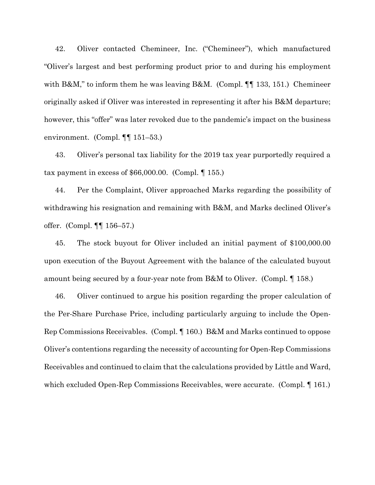42. Oliver contacted Chemineer, Inc. ("Chemineer"), which manufactured "Oliver's largest and best performing product prior to and during his employment with B&M," to inform them he was leaving B&M. (Compl. ¶¶ 133, 151.) Chemineer originally asked if Oliver was interested in representing it after his B&M departure; however, this "offer" was later revoked due to the pandemic's impact on the business environment. (Compl. ¶¶ 151–53.)

43. Oliver's personal tax liability for the 2019 tax year purportedly required a tax payment in excess of \$66,000.00. (Compl. ¶ 155.)

44. Per the Complaint, Oliver approached Marks regarding the possibility of withdrawing his resignation and remaining with B&M, and Marks declined Oliver's offer. (Compl. ¶¶ 156–57.)

45. The stock buyout for Oliver included an initial payment of \$100,000.00 upon execution of the Buyout Agreement with the balance of the calculated buyout amount being secured by a four-year note from B&M to Oliver. (Compl. ¶ 158.)

46. Oliver continued to argue his position regarding the proper calculation of the Per-Share Purchase Price, including particularly arguing to include the Open-Rep Commissions Receivables. (Compl. ¶ 160.) B&M and Marks continued to oppose Oliver's contentions regarding the necessity of accounting for Open-Rep Commissions Receivables and continued to claim that the calculations provided by Little and Ward, which excluded Open-Rep Commissions Receivables, were accurate. (Compl. 161.)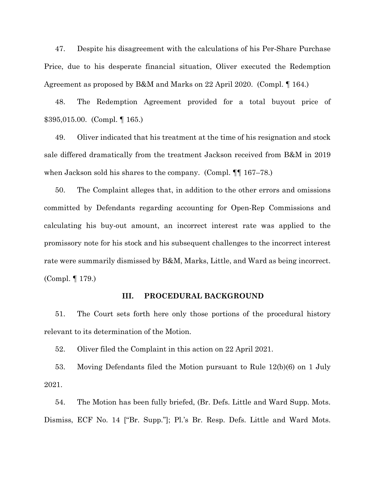47. Despite his disagreement with the calculations of his Per-Share Purchase Price, due to his desperate financial situation, Oliver executed the Redemption Agreement as proposed by B&M and Marks on 22 April 2020. (Compl. ¶ 164.)

48. The Redemption Agreement provided for a total buyout price of \$395,015.00. (Compl. ¶ 165.)

49. Oliver indicated that his treatment at the time of his resignation and stock sale differed dramatically from the treatment Jackson received from B&M in 2019 when Jackson sold his shares to the company. (Compl.  $\P$  167–78.)

50. The Complaint alleges that, in addition to the other errors and omissions committed by Defendants regarding accounting for Open-Rep Commissions and calculating his buy-out amount, an incorrect interest rate was applied to the promissory note for his stock and his subsequent challenges to the incorrect interest rate were summarily dismissed by B&M, Marks, Little, and Ward as being incorrect. (Compl. ¶ 179.)

# **III. PROCEDURAL BACKGROUND**

51. The Court sets forth here only those portions of the procedural history relevant to its determination of the Motion.

52. Oliver filed the Complaint in this action on 22 April 2021.

53. Moving Defendants filed the Motion pursuant to Rule 12(b)(6) on 1 July 2021.

54. The Motion has been fully briefed, (Br. Defs. Little and Ward Supp. Mots. Dismiss, ECF No. 14 ["Br. Supp."]; Pl.'s Br. Resp. Defs. Little and Ward Mots.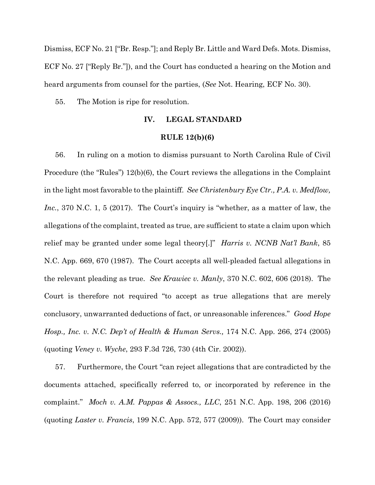Dismiss, ECF No. 21 ["Br. Resp."]; and Reply Br. Little and Ward Defs. Mots. Dismiss, ECF No. 27 ["Reply Br."]), and the Court has conducted a hearing on the Motion and heard arguments from counsel for the parties, (*See* Not. Hearing, ECF No. 30).

55. The Motion is ripe for resolution.

# **IV. LEGAL STANDARD**

#### **RULE 12(b)(6)**

56. In ruling on a motion to dismiss pursuant to North Carolina Rule of Civil Procedure (the "Rules") 12(b)(6), the Court reviews the allegations in the Complaint in the light most favorable to the plaintiff. *See Christenbury Eye Ctr., P.A. v. Medflow, Inc.*, 370 N.C. 1, 5 (2017). The Court's inquiry is "whether, as a matter of law, the allegations of the complaint, treated as true, are sufficient to state a claim upon which relief may be granted under some legal theory[.]" *Harris v. NCNB Nat'l Bank*, 85 N.C. App. 669, 670 (1987). The Court accepts all well-pleaded factual allegations in the relevant pleading as true. *See Krawiec v. Manly*, 370 N.C. 602, 606 (2018). The Court is therefore not required "to accept as true allegations that are merely conclusory, unwarranted deductions of fact, or unreasonable inferences." *Good Hope Hosp., Inc. v. N.C. Dep't of Health & Human Servs.,* 174 N.C. App. 266, 274 (2005) (quoting *Veney v. Wyche*, 293 F.3d 726, 730 (4th Cir. 2002)).

57. Furthermore, the Court "can reject allegations that are contradicted by the documents attached, specifically referred to, or incorporated by reference in the complaint." *Moch v. A.M. Pappas & Assocs., LLC*, 251 N.C. App. 198, 206 (2016) (quoting *Laster v. Francis*, 199 N.C. App. 572, 577 (2009)). The Court may consider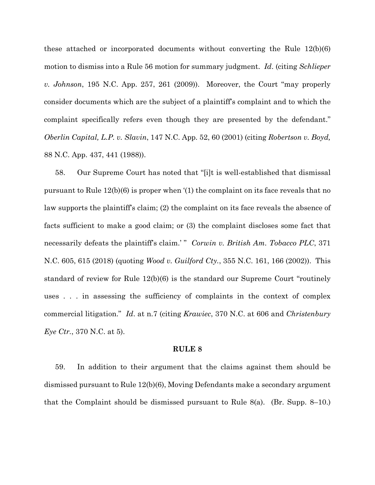these attached or incorporated documents without converting the Rule 12(b)(6) motion to dismiss into a Rule 56 motion for summary judgment. *Id*. (citing *Schlieper v. Johnson*, 195 N.C. App. 257, 261 (2009)). Moreover, the Court "may properly consider documents which are the subject of a plaintiff's complaint and to which the complaint specifically refers even though they are presented by the defendant." *Oberlin Capital, L.P. v. Slavin*, 147 N.C. App. 52, 60 (2001) (citing *Robertson v. Boyd,*  88 N.C. App. 437, 441 (1988)).

58. Our Supreme Court has noted that "[i]t is well-established that dismissal pursuant to Rule 12(b)(6) is proper when '(1) the complaint on its face reveals that no law supports the plaintiff's claim; (2) the complaint on its face reveals the absence of facts sufficient to make a good claim; or (3) the complaint discloses some fact that necessarily defeats the plaintiff's claim.' " *Corwin v. British Am. Tobacco PLC*, 371 N.C. 605, 615 (2018) (quoting *Wood v. Guilford Cty.*, 355 N.C. 161, 166 (2002)). This standard of review for Rule 12(b)(6) is the standard our Supreme Court "routinely uses . . . in assessing the sufficiency of complaints in the context of complex commercial litigation." *Id*. at n.7 (citing *Krawiec*, 370 N.C. at 606 and *Christenbury Eye Ctr.*, 370 N.C. at 5).

#### **RULE 8**

59. In addition to their argument that the claims against them should be dismissed pursuant to Rule 12(b)(6), Moving Defendants make a secondary argument that the Complaint should be dismissed pursuant to Rule 8(a). (Br. Supp. 8–10.)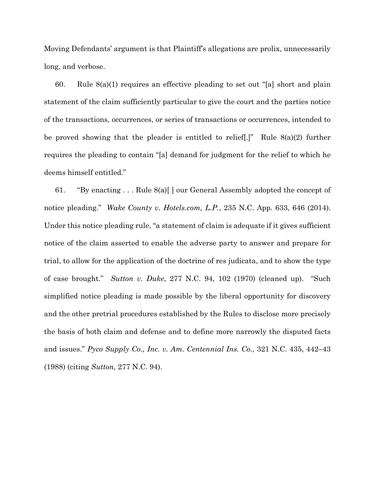Moving Defendants' argument is that Plaintiff's allegations are prolix, unnecessarily long, and verbose.

60. Rule 8(a)(1) requires an effective pleading to set out "[a] short and plain statement of the claim sufficiently particular to give the court and the parties notice of the transactions, occurrences, or series of transactions or occurrences, intended to be proved showing that the pleader is entitled to relief[.]" Rule 8(a)(2) further requires the pleading to contain "[a] demand for judgment for the relief to which he deems himself entitled."

61. "By enacting . . . Rule 8(a)[ ] our General Assembly adopted the concept of notice pleading." *Wake County v. Hotels.com, L.P.*, 235 N.C. App. 633, 646 (2014). Under this notice pleading rule, "a statement of claim is adequate if it gives sufficient notice of the claim asserted to enable the adverse party to answer and prepare for trial, to allow for the application of the doctrine of res judicata, and to show the type of case brought." *Sutton v. Duke*, 277 N.C. 94, 102 (1970) (cleaned up). "Such simplified notice pleading is made possible by the liberal opportunity for discovery and the other pretrial procedures established by the Rules to disclose more precisely the basis of both claim and defense and to define more narrowly the disputed facts and issues." *Pyco Supply Co., Inc. v. Am. Centennial Ins. Co.*, 321 N.C. 435, 442–43 (1988) (citing *Sutton,* 277 N.C. 94).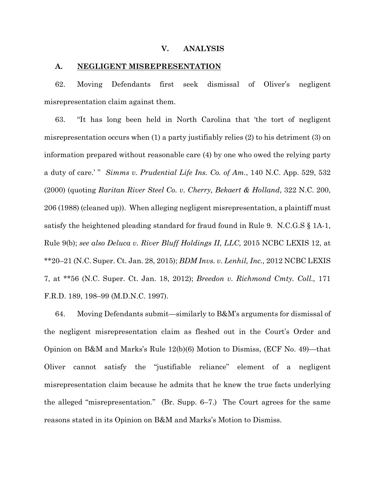#### **V. ANALYSIS**

#### **A. NEGLIGENT MISREPRESENTATION**

62. Moving Defendants first seek dismissal of Oliver's negligent misrepresentation claim against them.

63. "It has long been held in North Carolina that 'the tort of negligent misrepresentation occurs when (1) a party justifiably relies (2) to his detriment (3) on information prepared without reasonable care (4) by one who owed the relying party a duty of care.' " *Simms v. Prudential Life Ins. Co. of Am.*, 140 N.C. App. 529, 532 (2000) (quoting *Raritan River Steel Co. v. Cherry, Bekaert & Holland*, 322 N.C. 200, 206 (1988) (cleaned up)). When alleging negligent misrepresentation, a plaintiff must satisfy the heightened pleading standard for fraud found in Rule 9. N.C.G.S § 1A-1, Rule 9(b); *see also Deluca v. River Bluff Holdings II, LLC,* 2015 NCBC LEXIS 12, at \*\*20–21 (N.C. Super. Ct. Jan. 28, 2015); *BDM Invs. v. Lenhil, Inc.,* 2012 NCBC LEXIS 7, at \*\*56 (N.C. Super. Ct. Jan. 18, 2012); *Breedon v. Richmond Cmty. Coll.,* 171 F.R.D. 189, 198–99 (M.D.N.C. 1997).

64. Moving Defendants submit—similarly to B&M's arguments for dismissal of the negligent misrepresentation claim as fleshed out in the Court's Order and Opinion on B&M and Marks's Rule 12(b)(6) Motion to Dismiss, (ECF No. 49)—that Oliver cannot satisfy the "justifiable reliance" element of a negligent misrepresentation claim because he admits that he knew the true facts underlying the alleged "misrepresentation." (Br. Supp. 6–7.) The Court agrees for the same reasons stated in its Opinion on B&M and Marks's Motion to Dismiss.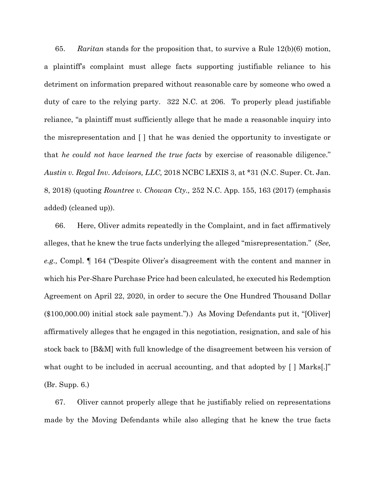65. *Raritan* stands for the proposition that, to survive a Rule 12(b)(6) motion, a plaintiff's complaint must allege facts supporting justifiable reliance to his detriment on information prepared without reasonable care by someone who owed a duty of care to the relying party. 322 N.C. at 206. To properly plead justifiable reliance, "a plaintiff must sufficiently allege that he made a reasonable inquiry into the misrepresentation and [ ] that he was denied the opportunity to investigate or that *he could not have learned the true facts* by exercise of reasonable diligence." *Austin v. Regal Inv. Advisors, LLC,* 2018 NCBC LEXIS 3, at \*31 (N.C. Super. Ct. Jan. 8, 2018) (quoting *Rountree v. Chowan Cty.,* 252 N.C. App. 155, 163 (2017) (emphasis added) (cleaned up)).

66. Here, Oliver admits repeatedly in the Complaint, and in fact affirmatively alleges, that he knew the true facts underlying the alleged "misrepresentation." (*See, e.g.,* Compl. ¶ 164 ("Despite Oliver's disagreement with the content and manner in which his Per-Share Purchase Price had been calculated, he executed his Redemption Agreement on April 22, 2020, in order to secure the One Hundred Thousand Dollar (\$100,000.00) initial stock sale payment.").) As Moving Defendants put it, "[Oliver] affirmatively alleges that he engaged in this negotiation, resignation, and sale of his stock back to [B&M] with full knowledge of the disagreement between his version of what ought to be included in accrual accounting, and that adopted by [ ] Marks.]" (Br. Supp. 6.)

67. Oliver cannot properly allege that he justifiably relied on representations made by the Moving Defendants while also alleging that he knew the true facts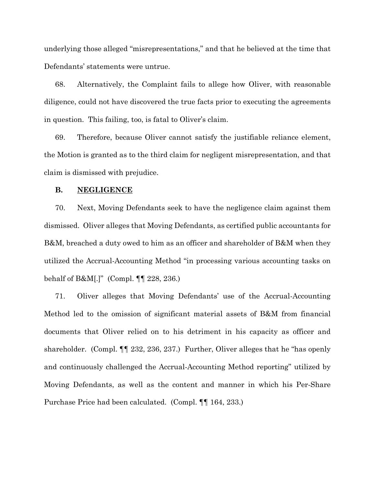underlying those alleged "misrepresentations," and that he believed at the time that Defendants' statements were untrue.

68. Alternatively, the Complaint fails to allege how Oliver, with reasonable diligence, could not have discovered the true facts prior to executing the agreements in question. This failing, too, is fatal to Oliver's claim.

69. Therefore, because Oliver cannot satisfy the justifiable reliance element, the Motion is granted as to the third claim for negligent misrepresentation, and that claim is dismissed with prejudice.

### **B. NEGLIGENCE**

70. Next, Moving Defendants seek to have the negligence claim against them dismissed. Oliver alleges that Moving Defendants, as certified public accountants for B&M, breached a duty owed to him as an officer and shareholder of B&M when they utilized the Accrual-Accounting Method "in processing various accounting tasks on behalf of B&M[.]" (Compl. ¶¶ 228, 236.)

71. Oliver alleges that Moving Defendants' use of the Accrual-Accounting Method led to the omission of significant material assets of B&M from financial documents that Oliver relied on to his detriment in his capacity as officer and shareholder. (Compl. ¶¶ 232, 236, 237.) Further, Oliver alleges that he "has openly and continuously challenged the Accrual-Accounting Method reporting" utilized by Moving Defendants, as well as the content and manner in which his Per-Share Purchase Price had been calculated. (Compl. ¶¶ 164, 233.)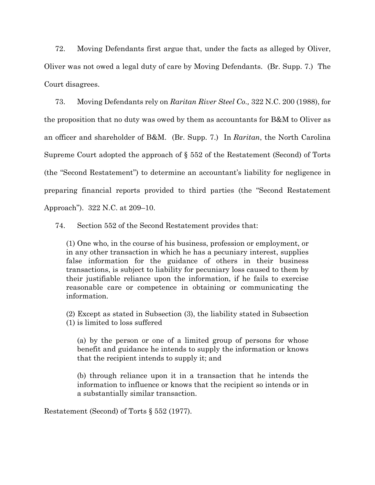72. Moving Defendants first argue that, under the facts as alleged by Oliver, Oliver was not owed a legal duty of care by Moving Defendants. (Br. Supp. 7.) The Court disagrees.

73. Moving Defendants rely on *Raritan River Steel Co.,* 322 N.C. 200 (1988), for the proposition that no duty was owed by them as accountants for B&M to Oliver as an officer and shareholder of B&M. (Br. Supp. 7.) In *Raritan*, the North Carolina Supreme Court adopted the approach of § 552 of the Restatement (Second) of Torts (the "Second Restatement") to determine an accountant's liability for negligence in preparing financial reports provided to third parties (the "Second Restatement Approach"). 322 N.C. at 209–10.

74. Section 552 of the Second Restatement provides that:

(1) One who, in the course of his business, profession or employment, or in any other transaction in which he has a pecuniary interest, supplies false information for the guidance of others in their business transactions, is subject to liability for pecuniary loss caused to them by their justifiable reliance upon the information, if he fails to exercise reasonable care or competence in obtaining or communicating the information.

(2) Except as stated in Subsection (3), the liability stated in Subsection (1) is limited to loss suffered

(a) by the person or one of a limited group of persons for whose benefit and guidance he intends to supply the information or knows that the recipient intends to supply it; and

(b) through reliance upon it in a transaction that he intends the information to influence or knows that the recipient so intends or in a substantially similar transaction.

Restatement (Second) of Torts § 552 (1977).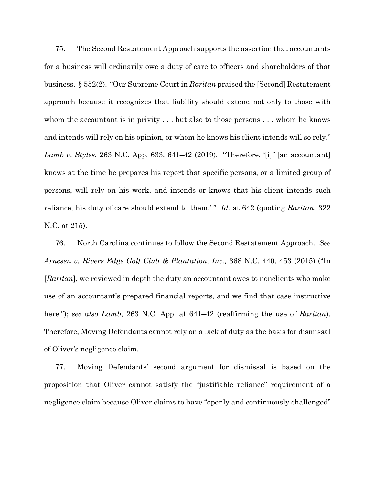75. The Second Restatement Approach supports the assertion that accountants for a business will ordinarily owe a duty of care to officers and shareholders of that business. § 552(2). "Our Supreme Court in *Raritan* praised the [Second] Restatement approach because it recognizes that liability should extend not only to those with whom the accountant is in privity . . . but also to those persons . . . whom he knows and intends will rely on his opinion, or whom he knows his client intends will so rely." *Lamb v. Styles*, 263 N.C. App. 633, 641–42 (2019). "Therefore, '[i]f [an accountant] knows at the time he prepares his report that specific persons, or a limited group of persons, will rely on his work, and intends or knows that his client intends such reliance, his duty of care should extend to them.' " *Id.* at 642 (quoting *Raritan*, 322 N.C. at 215).

76. North Carolina continues to follow the Second Restatement Approach. *See Arnesen v. Rivers Edge Golf Club & Plantation, Inc.,* 368 N.C. 440, 453 (2015) ("In [*Raritan*], we reviewed in depth the duty an accountant owes to nonclients who make use of an accountant's prepared financial reports, and we find that case instructive here."); *see also Lamb*, 263 N.C. App. at 641–42 (reaffirming the use of *Raritan*). Therefore, Moving Defendants cannot rely on a lack of duty as the basis for dismissal of Oliver's negligence claim.

77. Moving Defendants' second argument for dismissal is based on the proposition that Oliver cannot satisfy the "justifiable reliance" requirement of a negligence claim because Oliver claims to have "openly and continuously challenged"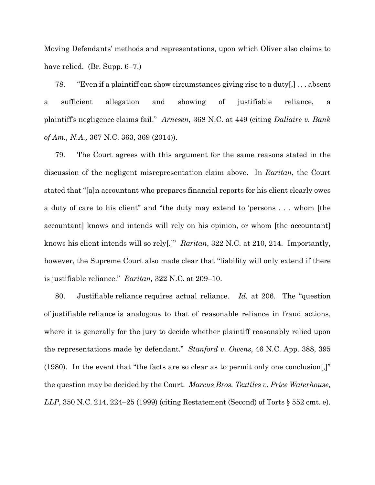Moving Defendants' methods and representations, upon which Oliver also claims to have relied. (Br. Supp. 6–7.)

78. "Even if a plaintiff can show circumstances giving rise to a duty[,] . . . absent a sufficient allegation and showing of justifiable reliance, a plaintiff's negligence claims fail." *Arnesen,* 368 N.C. at 449 (citing *Dallaire v. Bank of Am., N.A.,* 367 N.C. 363, 369 (2014)).

79. The Court agrees with this argument for the same reasons stated in the discussion of the negligent misrepresentation claim above. In *Raritan*, the Court stated that "[a]n accountant who prepares financial reports for his client clearly owes a duty of care to his client" and "the duty may extend to 'persons . . . whom [the accountant] knows and intends will rely on his opinion, or whom [the accountant] knows his client intends will so rely[.]" *Raritan*, 322 N.C. at 210, 214. Importantly, however, the Supreme Court also made clear that "liability will only extend if there is justifiable reliance." *Raritan,* 322 N.C. at 209–10.

80. Justifiable reliance requires actual reliance. *Id.* at 206. The "question of justifiable reliance is analogous to that of reasonable reliance in fraud actions, where it is generally for the jury to decide whether plaintiff reasonably relied upon the representations made by defendant." *Stanford v. Owens,* 46 N.C. App. 388, 395 (1980). In the event that "the facts are so clear as to permit only one conclusion[,]" the question may be decided by the Court. *Marcus Bros. Textiles v. Price Waterhouse, LLP*, 350 N.C. 214, 224–25 (1999) (citing Restatement (Second) of Torts § 552 cmt. e).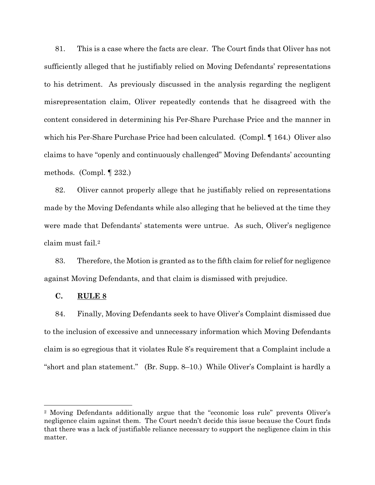81. This is a case where the facts are clear.The Court finds that Oliver has not sufficiently alleged that he justifiably relied on Moving Defendants' representations to his detriment. As previously discussed in the analysis regarding the negligent misrepresentation claim, Oliver repeatedly contends that he disagreed with the content considered in determining his Per-Share Purchase Price and the manner in which his Per-Share Purchase Price had been calculated. (Compl. 164.) Oliver also claims to have "openly and continuously challenged" Moving Defendants' accounting methods. (Compl. ¶ 232.)

82. Oliver cannot properly allege that he justifiably relied on representations made by the Moving Defendants while also alleging that he believed at the time they were made that Defendants' statements were untrue. As such, Oliver's negligence claim must fail.[2](#page-19-0)

83. Therefore, the Motion is granted as to the fifth claim for relief for negligence against Moving Defendants, and that claim is dismissed with prejudice.

# **C. RULE 8**

84. Finally, Moving Defendants seek to have Oliver's Complaint dismissed due to the inclusion of excessive and unnecessary information which Moving Defendants claim is so egregious that it violates Rule 8's requirement that a Complaint include a "short and plan statement." (Br. Supp. 8–10.) While Oliver's Complaint is hardly a

<span id="page-19-0"></span><sup>2</sup> Moving Defendants additionally argue that the "economic loss rule" prevents Oliver's negligence claim against them. The Court needn't decide this issue because the Court finds that there was a lack of justifiable reliance necessary to support the negligence claim in this matter.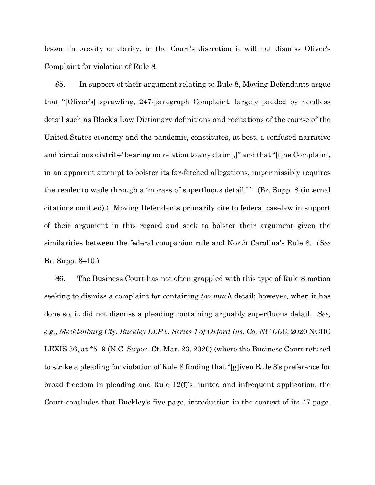lesson in brevity or clarity, in the Court's discretion it will not dismiss Oliver's Complaint for violation of Rule 8.

85. In support of their argument relating to Rule 8, Moving Defendants argue that "[Oliver's] sprawling, 247-paragraph Complaint, largely padded by needless detail such as Black's Law Dictionary definitions and recitations of the course of the United States economy and the pandemic, constitutes, at best, a confused narrative and 'circuitous diatribe' bearing no relation to any claim[,]" and that "[t]he Complaint, in an apparent attempt to bolster its far-fetched allegations, impermissibly requires the reader to wade through a 'morass of superfluous detail.' " (Br. Supp. 8 (internal citations omitted).) Moving Defendants primarily cite to federal caselaw in support of their argument in this regard and seek to bolster their argument given the similarities between the federal companion rule and North Carolina's Rule 8. (*See*  Br. Supp. 8–10.)

86. The Business Court has not often grappled with this type of Rule 8 motion seeking to dismiss a complaint for containing *too much* detail; however, when it has done so, it did not dismiss a pleading containing arguably superfluous detail. *See, e.g., Mecklenburg Cty. Buckley LLP v. Series 1 of Oxford Ins. Co. NC LLC*, 2020 NCBC LEXIS 36, at \*5–9 (N.C. Super. Ct. Mar. 23, 2020) (where the Business Court refused to strike a pleading for violation of Rule 8 finding that "[g]iven Rule 8's preference for broad freedom in pleading and Rule 12(f)'s limited and infrequent application, the Court concludes that Buckley's five-page, introduction in the context of its 47-page,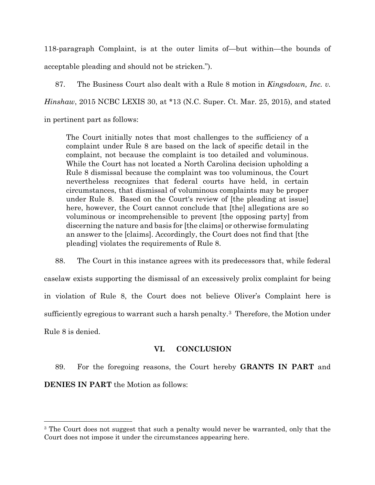118-paragraph Complaint, is at the outer limits of—but within—the bounds of acceptable pleading and should not be stricken.").

87. The Business Court also dealt with a Rule 8 motion in *Kingsdown, Inc. v. Hinshaw*, 2015 NCBC LEXIS 30, at \*13 (N.C. Super. Ct. Mar. 25, 2015), and stated in pertinent part as follows:

The Court initially notes that most challenges to the sufficiency of a complaint under Rule 8 are based on the lack of specific detail in the complaint, not because the complaint is too detailed and voluminous. While the Court has not located a North Carolina decision upholding a Rule 8 dismissal because the complaint was too voluminous, the Court nevertheless recognizes that federal courts have held, in certain circumstances, that dismissal of voluminous complaints may be proper under Rule 8. Based on the Court's review of [the pleading at issue] here, however, the Court cannot conclude that [the] allegations are so voluminous or incomprehensible to prevent [the opposing party] from discerning the nature and basis for [the claims] or otherwise formulating an answer to the [claims]. Accordingly, the Court does not find that [the pleading] violates the requirements of Rule 8.

88. The Court in this instance agrees with its predecessors that, while federal caselaw exists supporting the dismissal of an excessively prolix complaint for being in violation of Rule 8, the Court does not believe Oliver's Complaint here is sufficiently egregious to warrant such a harsh penalty[.3](#page-21-0) Therefore, the Motion under Rule 8 is denied.

# **VI. CONCLUSION**

89. For the foregoing reasons, the Court hereby **GRANTS IN PART** and **DENIES IN PART** the Motion as follows:

<span id="page-21-0"></span><sup>&</sup>lt;sup>3</sup> The Court does not suggest that such a penalty would never be warranted, only that the Court does not impose it under the circumstances appearing here.